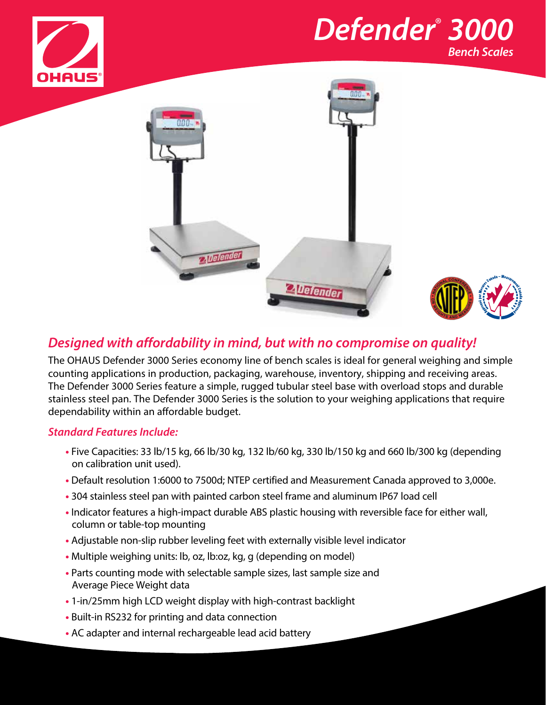







# *Designed with affordability in mind, but with no compromise on quality!*

The OHAUS Defender 3000 Series economy line of bench scales is ideal for general weighing and simple counting applications in production, packaging, warehouse, inventory, shipping and receiving areas. The Defender 3000 Series feature a simple, rugged tubular steel base with overload stops and durable stainless steel pan. The Defender 3000 Series is the solution to your weighing applications that require dependability within an affordable budget.

# *Standard Features Include:*

- **•** Five Capacities: 33 lb/15 kg, 66 lb/30 kg, 132 lb/60 kg, 330 lb/150 kg and 660 lb/300 kg (depending on calibration unit used).
- **•** Default resolution 1:6000 to 7500d; NTEP certified and Measurement Canada approved to 3,000e.
- **•** 304 stainless steel pan with painted carbon steel frame and aluminum IP67 load cell
- **•** Indicator features a high-impact durable ABS plastic housing with reversible face for either wall, column or table-top mounting
- **•** Adjustable non-slip rubber leveling feet with externally visible level indicator
- **•** Multiple weighing units: lb, oz, lb:oz, kg, g (depending on model)
- **•** Parts counting mode with selectable sample sizes, last sample size and Average Piece Weight data
- **•** 1-in/25mm high LCD weight display with high-contrast backlight
- **•** Built-in RS232 for printing and data connection
- **•** AC adapter and internal rechargeable lead acid battery